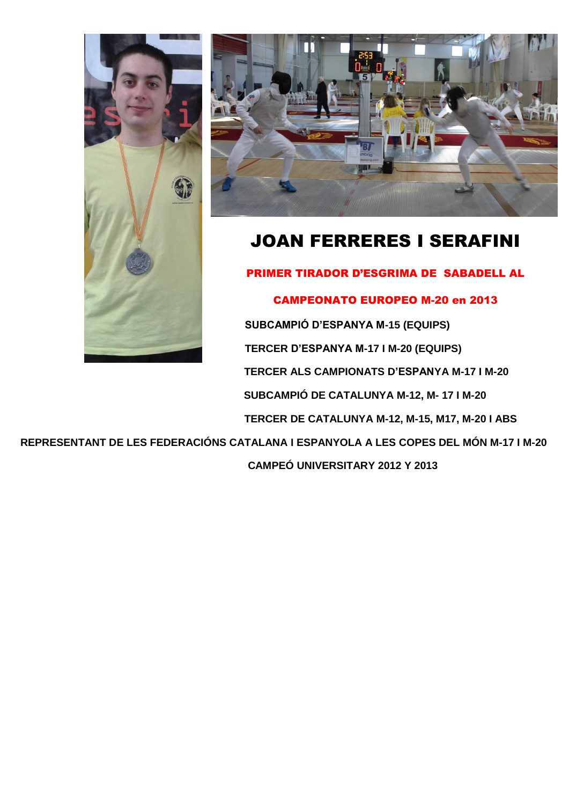



## JOAN FERRERES I SERAFINI

PRIMER TIRADOR D'ESGRIMA DE SABADELL AL

CAMPEONATO EUROPEO M-20 en 2013 **SUBCAMPIÓ D'ESPANYA M-15 (EQUIPS) TERCER D'ESPANYA M-17 I M-20 (EQUIPS) TERCER ALS CAMPIONATS D'ESPANYA M-17 I M-20 SUBCAMPIÓ DE CATALUNYA M-12, M- 17 I M-20 TERCER DE CATALUNYA M-12, M-15, M17, M-20 I ABS**

**REPRESENTANT DE LES FEDERACIÓNS CATALANA I ESPANYOLA A LES COPES DEL MÓN M-17 I M-20**

 **CAMPEÓ UNIVERSITARY 2012 Y 2013**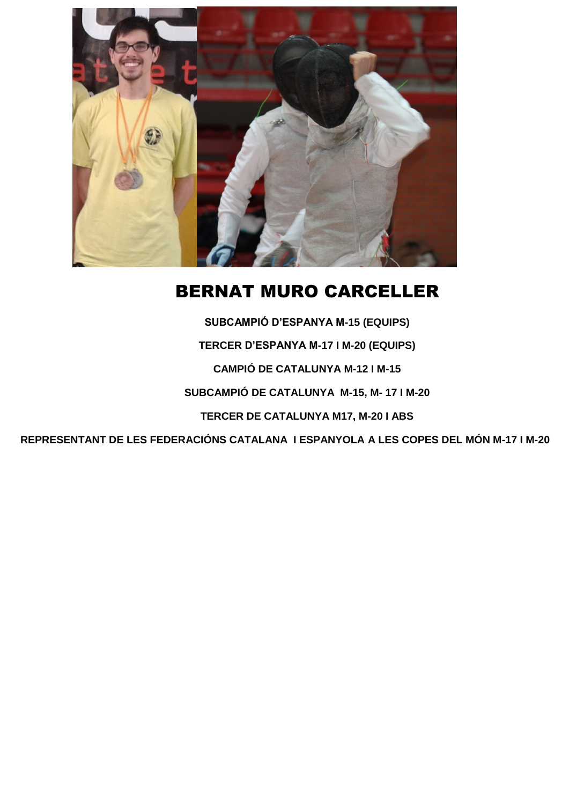

#### BERNAT MURO CARCELLER

**SUBCAMPIÓ D'ESPANYA M-15 (EQUIPS) TERCER D'ESPANYA M-17 I M-20 (EQUIPS) CAMPIÓ DE CATALUNYA M-12 I M-15 SUBCAMPIÓ DE CATALUNYA M-15, M- 17 I M-20 TERCER DE CATALUNYA M17, M-20 I ABS REPRESENTANT DE LES FEDERACIÓNS CATALANA I ESPANYOLA A LES COPES DEL MÓN M-17 I M-20**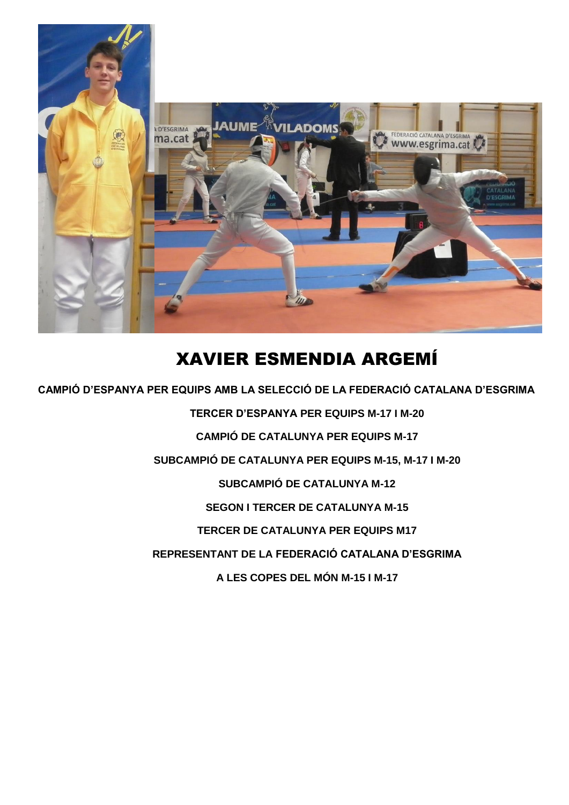

#### XAVIER ESMENDIA ARGEMÍ

 **CAMPIÓ D'ESPANYA PER EQUIPS AMB LA SELECCIÓ DE LA FEDERACIÓ CATALANA D'ESGRIMA**

**TERCER D'ESPANYA PER EQUIPS M-17 I M-20 CAMPIÓ DE CATALUNYA PER EQUIPS M-17 SUBCAMPIÓ DE CATALUNYA PER EQUIPS M-15, M-17 I M-20 SUBCAMPIÓ DE CATALUNYA M-12 SEGON I TERCER DE CATALUNYA M-15 TERCER DE CATALUNYA PER EQUIPS M17 REPRESENTANT DE LA FEDERACIÓ CATALANA D'ESGRIMA A LES COPES DEL MÓN M-15 I M-17**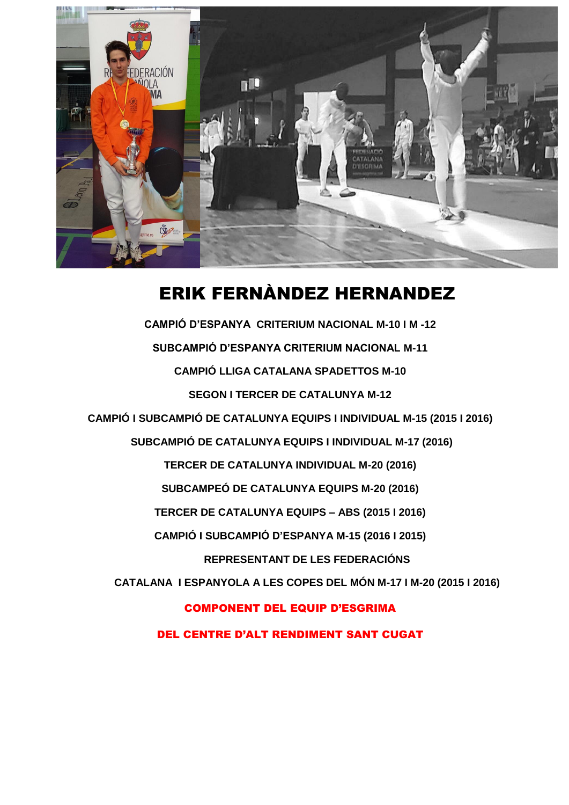

#### ERIK FERNÀNDEZ HERNANDEZ

**CAMPIÓ D'ESPANYA CRITERIUM NACIONAL M-10 I M -12 SUBCAMPIÓ D'ESPANYA CRITERIUM NACIONAL M-11 CAMPIÓ LLIGA CATALANA SPADETTOS M-10 SEGON I TERCER DE CATALUNYA M-12 CAMPIÓ I SUBCAMPIÓ DE CATALUNYA EQUIPS I INDIVIDUAL M-15 (2015 I 2016) SUBCAMPIÓ DE CATALUNYA EQUIPS I INDIVIDUAL M-17 (2016) TERCER DE CATALUNYA INDIVIDUAL M-20 (2016) SUBCAMPEÓ DE CATALUNYA EQUIPS M-20 (2016) TERCER DE CATALUNYA EQUIPS – ABS (2015 I 2016) CAMPIÓ I SUBCAMPIÓ D'ESPANYA M-15 (2016 I 2015) REPRESENTANT DE LES FEDERACIÓNS CATALANA I ESPANYOLA A LES COPES DEL MÓN M-17 I M-20 (2015 I 2016)** COMPONENT DEL EQUIP D'ESGRIMA DEL CENTRE D'ALT RENDIMENT SANT CUGAT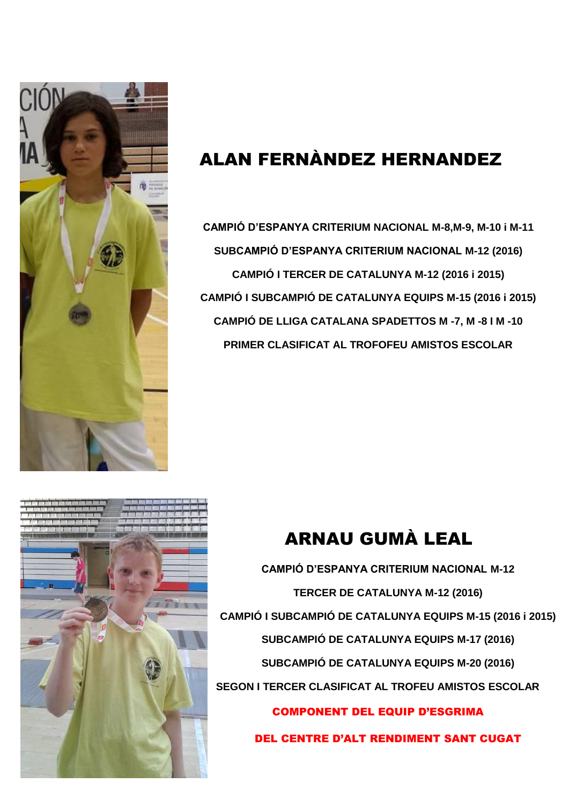

# ALAN FERNÀNDEZ HERNANDEZ

**CAMPIÓ D'ESPANYA CRITERIUM NACIONAL M-8,M-9, M-10 i M-11 SUBCAMPIÓ D'ESPANYA CRITERIUM NACIONAL M-12 (2016) CAMPIÓ I TERCER DE CATALUNYA M-12 (2016 i 2015) CAMPIÓ I SUBCAMPIÓ DE CATALUNYA EQUIPS M-15 (2016 i 2015) CAMPIÓ DE LLIGA CATALANA SPADETTOS M -7, M -8 I M -10 PRIMER CLASIFICAT AL TROFOFEU AMISTOS ESCOLAR**



# ARNAU GUMÀ LEAL

**CAMPIÓ D'ESPANYA CRITERIUM NACIONAL M-12 TERCER DE CATALUNYA M-12 (2016) CAMPIÓ I SUBCAMPIÓ DE CATALUNYA EQUIPS M-15 (2016 i 2015) SUBCAMPIÓ DE CATALUNYA EQUIPS M-17 (2016) SUBCAMPIÓ DE CATALUNYA EQUIPS M-20 (2016) SEGON I TERCER CLASIFICAT AL TROFEU AMISTOS ESCOLAR** COMPONENT DEL EQUIP D'ESGRIMA

DEL CENTRE D'ALT RENDIMENT SANT CUGAT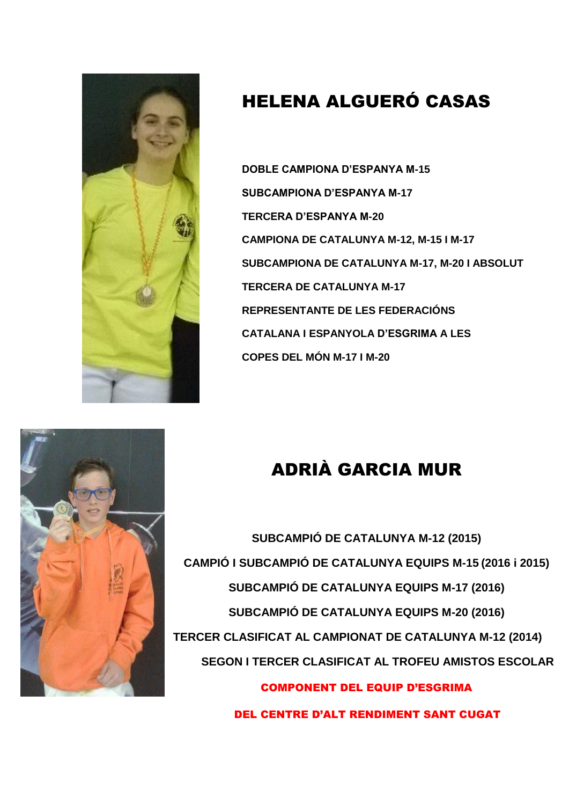

## HELENA ALGUERÓ CASAS

**DOBLE CAMPIONA D'ESPANYA M-15 SUBCAMPIONA D'ESPANYA M-17 TERCERA D'ESPANYA M-20 CAMPIONA DE CATALUNYA M-12, M-15 I M-17 SUBCAMPIONA DE CATALUNYA M-17, M-20 I ABSOLUT TERCERA DE CATALUNYA M-17 REPRESENTANTE DE LES FEDERACIÓNS CATALANA I ESPANYOLA D'ESGRIMA A LES COPES DEL MÓN M-17 I M-20**





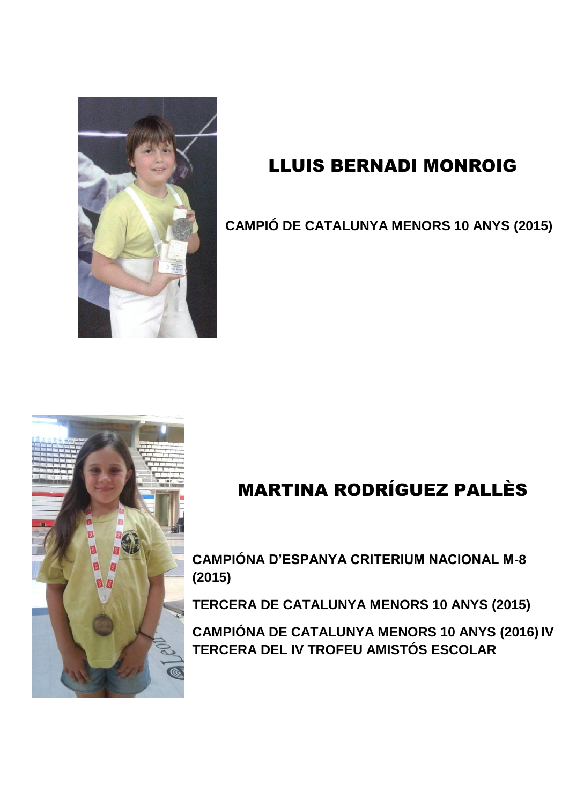

#### LLUIS BERNADI MONROIG

**CAMPIÓ DE CATALUNYA MENORS 10 ANYS (2015)**



# MARTINA RODRÍGUEZ PALLÈS

**CAMPIÓNA D'ESPANYA CRITERIUM NACIONAL M-8 (2015)**

**TERCERA DE CATALUNYA MENORS 10 ANYS (2015)**

**CAMPIÓNA DE CATALUNYA MENORS 10 ANYS (2016) IV TERCERA DEL IV TROFEU AMISTÓS ESCOLAR**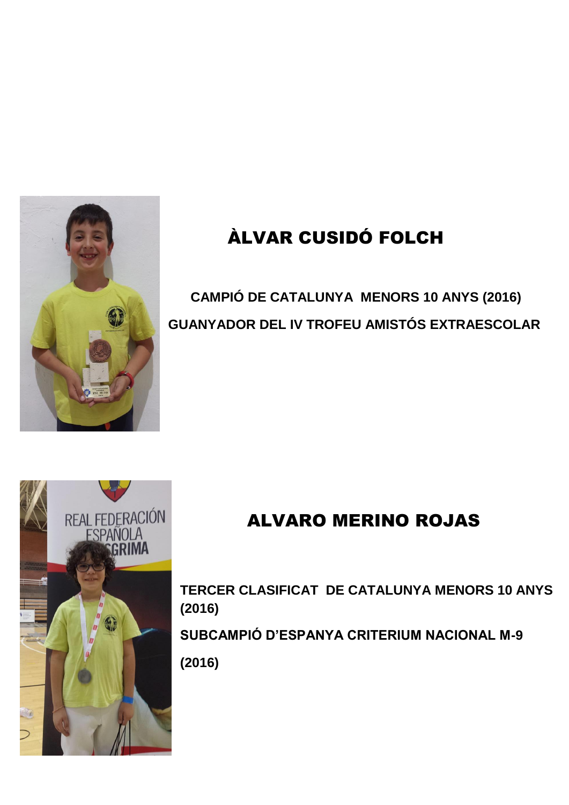

# ÀLVAR CUSIDÓ FOLCH

# **CAMPIÓ DE CATALUNYA MENORS 10 ANYS (2016) GUANYADOR DEL IV TROFEU AMISTÓS EXTRAESCOLAR**



## ALVARO MERINO ROJAS

**TERCER CLASIFICAT DE CATALUNYA MENORS 10 ANYS (2016) SUBCAMPIÓ D'ESPANYA CRITERIUM NACIONAL M-9 (2016)**